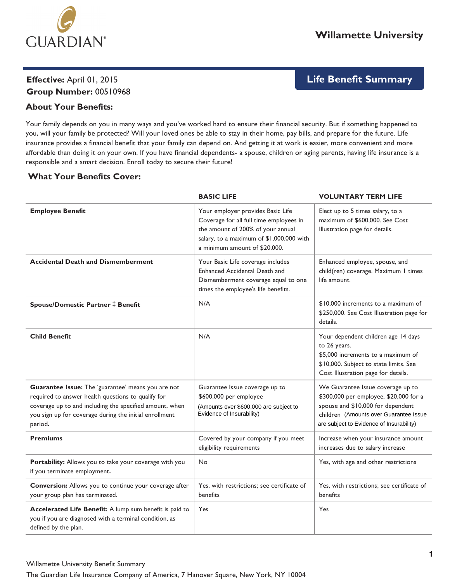

# **Effective:** April 01, 2015 **Group Number:** 00510968

# **Life Benefit Summary**

# **About Your Benefits:**

Your family depends on you in many ways and you've worked hard to ensure their financial security. But if something happened to you, will your family be protected? Will your loved ones be able to stay in their home, pay bills, and prepare for the future. Life insurance provides a financial benefit that your family can depend on. And getting it at work is easier, more convenient and more affordable than doing it on your own. If you have financial dependents- a spouse, children or aging parents, having life insurance is a responsible and a smart decision. Enroll today to secure their future!

## **What Your Benefits Cover:**

|                                                                                                                                                                                                                                          | <b>BASIC LIFE</b>                                                                                                                                                                              | <b>VOLUNTARY TERM LIFE</b>                                                                                                                                                                             |
|------------------------------------------------------------------------------------------------------------------------------------------------------------------------------------------------------------------------------------------|------------------------------------------------------------------------------------------------------------------------------------------------------------------------------------------------|--------------------------------------------------------------------------------------------------------------------------------------------------------------------------------------------------------|
| <b>Employee Benefit</b>                                                                                                                                                                                                                  | Your employer provides Basic Life<br>Coverage for all full time employees in<br>the amount of 200% of your annual<br>salary, to a maximum of \$1,000,000 with<br>a minimum amount of \$20,000. | Elect up to 5 times salary, to a<br>maximum of \$600,000. See Cost<br>Illustration page for details.                                                                                                   |
| <b>Accidental Death and Dismemberment</b>                                                                                                                                                                                                | Your Basic Life coverage includes<br>Enhanced Accidental Death and<br>Dismemberment coverage equal to one<br>times the employee's life benefits.                                               | Enhanced employee, spouse, and<br>child(ren) coverage. Maximum 1 times<br>life amount.                                                                                                                 |
| Spouse/Domestic Partner ‡ Benefit                                                                                                                                                                                                        | N/A                                                                                                                                                                                            | \$10,000 increments to a maximum of<br>\$250,000. See Cost Illustration page for<br>details.                                                                                                           |
| <b>Child Benefit</b>                                                                                                                                                                                                                     | N/A                                                                                                                                                                                            | Your dependent children age 14 days<br>to 26 years.<br>\$5,000 increments to a maximum of<br>\$10,000. Subject to state limits. See<br>Cost Illustration page for details.                             |
| Guarantee Issue: The 'guarantee' means you are not<br>required to answer health questions to qualify for<br>coverage up to and including the specified amount, when<br>you sign up for coverage during the initial enrollment<br>period. | Guarantee Issue coverage up to<br>\$600,000 per employee<br>(Amounts over \$600,000 are subject to<br>Evidence of Insurability)                                                                | We Guarantee Issue coverage up to<br>\$300,000 per employee, \$20,000 for a<br>spouse and \$10,000 for dependent<br>children (Amounts over Guarantee Issue<br>are subject to Evidence of Insurability) |
| <b>Premiums</b>                                                                                                                                                                                                                          | Covered by your company if you meet<br>eligibility requirements                                                                                                                                | Increase when your insurance amount<br>increases due to salary increase                                                                                                                                |
| Portability: Allows you to take your coverage with you<br>if you terminate employment.                                                                                                                                                   | No                                                                                                                                                                                             | Yes, with age and other restrictions                                                                                                                                                                   |
| Conversion: Allows you to continue your coverage after<br>your group plan has terminated.                                                                                                                                                | Yes, with restrictions; see certificate of<br>benefits                                                                                                                                         | Yes, with restrictions; see certificate of<br>benefits                                                                                                                                                 |
| Accelerated Life Benefit: A lump sum benefit is paid to<br>you if you are diagnosed with a terminal condition, as<br>defined by the plan.                                                                                                | Yes                                                                                                                                                                                            | Yes                                                                                                                                                                                                    |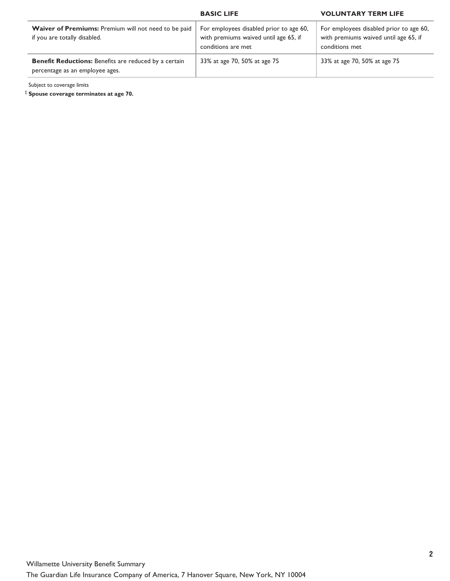|                                                                                                 | <b>BASIC LIFE</b>                                                                                      | <b>VOLUNTARY TERM LIFE</b>                                                                         |
|-------------------------------------------------------------------------------------------------|--------------------------------------------------------------------------------------------------------|----------------------------------------------------------------------------------------------------|
| <b>Waiver of Premiums:</b> Premium will not need to be paid<br>if you are totally disabled.     | For employees disabled prior to age 60,<br>with premiums waived until age 65, if<br>conditions are met | For employees disabled prior to age 60,<br>with premiums waived until age 65, if<br>conditions met |
| <b>Benefit Reductions:</b> Benefits are reduced by a certain<br>percentage as an employee ages. | 33% at age 70, 50% at age 75                                                                           | 33% at age 70, 50% at age 75                                                                       |

Subject to coverage limits

**Spouse coverage terminates at age 70.**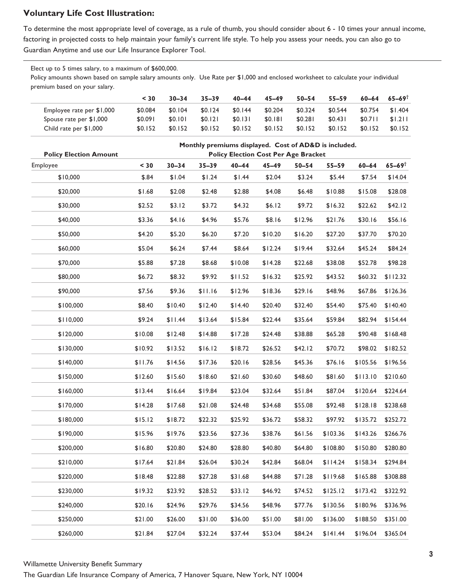# **Voluntary Life Cost Illustration:**

To determine the most appropriate level of coverage, as a rule of thumb, you should consider about 6 - 10 times your annual income, factoring in projected costs to help maintain your family's current life style. To help you assess your needs, you can also go to Guardian Anytime and use our Life Insurance Explorer Tool.

Elect up to 5 times salary, to a maximum of \$600,000. Policy amounts shown based on sample salary amounts only. Use Rate per \$1,000 and enclosed worksheet to calculate your individual premium based on your salary.

|                           | $<$ 30  | $30 - 34$ | $35 - 39$ | $40 - 44$ | 45–49   | $50 - 54$ | $55 - 59$ | $60 - 64$ | $65 - 69$ <sup>T</sup> |
|---------------------------|---------|-----------|-----------|-----------|---------|-----------|-----------|-----------|------------------------|
| Employee rate per \$1,000 | \$0.084 | \$0.104   | \$0.124   | \$0.144   | \$0.204 | \$0.324   | \$0.544   | \$0.754   | \$1.404                |
| Spouse rate per \$1,000   | \$0.091 | \$0.101   | \$0.121   | \$0.131   | \$0.181 | \$0.281   | \$0.431   | \$0.711   | \$1.211                |
| Child rate per \$1,000    | \$0.152 | \$0.152   | \$0.152   | \$0.152   | \$0.152 | \$0.152   | \$0.152   | \$0.152   | \$0.152                |

| <b>Policy Election Amount</b> | Monthly premiums displayed. Cost of AD&D is included.<br><b>Policy Election Cost Per Age Bracket</b> |           |           |           |           |           |           |           |                     |
|-------------------------------|------------------------------------------------------------------------------------------------------|-----------|-----------|-----------|-----------|-----------|-----------|-----------|---------------------|
| Employee                      | $30$                                                                                                 | $30 - 34$ | $35 - 39$ | $40 - 44$ | $45 - 49$ | $50 - 54$ | $55 - 59$ | $60 - 64$ | $65 - 69^{\dagger}$ |
| \$10,000                      | \$.84                                                                                                | \$1.04    | \$1.24    | \$1.44    | \$2.04    | \$3.24    | \$5.44    | \$7.54    | \$14.04             |
| \$20,000                      | \$1.68                                                                                               | \$2.08    | \$2.48    | \$2.88    | \$4.08    | \$6.48    | \$10.88   | \$15.08   | \$28.08             |
| \$30,000                      | \$2.52                                                                                               | \$3.12    | \$3.72    | \$4.32    | \$6.12    | \$9.72    | \$16.32   | \$22.62   | \$42.12             |
| \$40,000                      | \$3.36                                                                                               | \$4.16    | \$4.96    | \$5.76    | \$8.16    | \$12.96   | \$21.76   | \$30.16   | \$56.16             |
| \$50,000                      | \$4.20                                                                                               | \$5.20    | \$6.20    | \$7.20    | \$10.20   | \$16.20   | \$27.20   | \$37.70   | \$70.20             |
| \$60,000                      | \$5.04                                                                                               | \$6.24    | \$7.44    | \$8.64    | \$12.24   | \$19.44   | \$32.64   | \$45.24   | \$84.24             |
| \$70,000                      | \$5.88                                                                                               | \$7.28    | \$8.68    | \$10.08   | \$14.28   | \$22.68   | \$38.08   | \$52.78   | \$98.28             |
| \$80,000                      | \$6.72                                                                                               | \$8.32    | \$9.92    | \$11.52   | \$16.32   | \$25.92   | \$43.52   | \$60.32   | \$112.32            |
| \$90,000                      | \$7.56                                                                                               | \$9.36    | \$11.16   | \$12.96   | \$18.36   | \$29.16   | \$48.96   | \$67.86   | \$126.36            |
| \$100,000                     | \$8.40                                                                                               | \$10.40   | \$12.40   | \$14.40   | \$20.40   | \$32.40   | \$54.40   | \$75.40   | \$140.40            |
| \$110,000                     | \$9.24                                                                                               | \$11.44   | \$13.64   | \$15.84   | \$22.44   | \$35.64   | \$59.84   | \$82.94   | \$154.44            |
| \$120,000                     | \$10.08                                                                                              | \$12.48   | \$14.88   | \$17.28   | \$24.48   | \$38.88   | \$65.28   | \$90.48   | \$168.48            |
| \$130,000                     | \$10.92                                                                                              | \$13.52   | \$16.12   | \$18.72   | \$26.52   | \$42.12   | \$70.72   | \$98.02   | \$182.52            |
| \$140,000                     | \$11.76                                                                                              | \$14.56   | \$17.36   | \$20.16   | \$28.56   | \$45.36   | \$76.16   | \$105.56  | \$196.56            |
| \$150,000                     | \$12.60                                                                                              | \$15.60   | \$18.60   | \$21.60   | \$30.60   | \$48.60   | \$81.60   | \$113.10  | \$210.60            |
| \$160,000                     | \$13.44                                                                                              | \$16.64   | \$19.84   | \$23.04   | \$32.64   | \$51.84   | \$87.04   | \$120.64  | \$224.64            |
| \$170,000                     | \$14.28                                                                                              | \$17.68   | \$21.08   | \$24.48   | \$34.68   | \$55.08   | \$92.48   | \$128.18  | \$238.68            |
| \$180,000                     | \$15.12                                                                                              | \$18.72   | \$22.32   | \$25.92   | \$36.72   | \$58.32   | \$97.92   | \$135.72  | \$252.72            |
| \$190,000                     | \$15.96                                                                                              | \$19.76   | \$23.56   | \$27.36   | \$38.76   | \$61.56   | \$103.36  | \$143.26  | \$266.76            |
| \$200,000                     | \$16.80                                                                                              | \$20.80   | \$24.80   | \$28.80   | \$40.80   | \$64.80   | \$108.80  | \$150.80  | \$280.80            |
| \$210,000                     | \$17.64                                                                                              | \$21.84   | \$26.04   | \$30.24   | \$42.84   | \$68.04   | \$114.24  | \$158.34  | \$294.84            |
| \$220,000                     | \$18.48                                                                                              | \$22.88   | \$27.28   | \$31.68   | \$44.88   | \$71.28   | \$119.68  | \$165.88  | \$308.88            |
| \$230,000                     | \$19.32                                                                                              | \$23.92   | \$28.52   | \$33.12   | \$46.92   | \$74.52   | \$125.12  | \$173.42  | \$322.92            |
| \$240,000                     | \$20.16                                                                                              | \$24.96   | \$29.76   | \$34.56   | \$48.96   | \$77.76   | \$130.56  | \$180.96  | \$336.96            |
| \$250,000                     | \$21.00                                                                                              | \$26.00   | \$31.00   | \$36.00   | \$51.00   | \$81.00   | \$136.00  | \$188.50  | \$351.00            |
| \$260,000                     | \$21.84                                                                                              | \$27.04   | \$32.24   | \$37.44   | \$53.04   | \$84.24   | \$141.44  | \$196.04  | \$365.04            |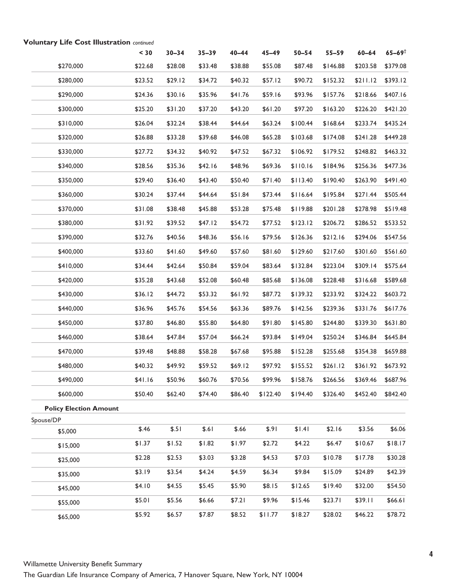|                               | $30$    | $30 - 34$ | $35 - 39$ | $40 - 44$ | $45 - 49$ | $50 - 54$ | $55 - 59$ | $60 - 64$ | $65 - 69^{\dagger}$ |
|-------------------------------|---------|-----------|-----------|-----------|-----------|-----------|-----------|-----------|---------------------|
| \$270,000                     | \$22.68 | \$28.08   | \$33.48   | \$38.88   | \$55.08   | \$87.48   | \$146.88  | \$203.58  | \$379.08            |
| \$280,000                     | \$23.52 | \$29.12   | \$34.72   | \$40.32   | \$57.12   | \$90.72   | \$152.32  | \$211.12  | \$393.12            |
| \$290,000                     | \$24.36 | \$30.16   | \$35.96   | \$41.76   | \$59.16   | \$93.96   | \$157.76  | \$218.66  | \$407.16            |
| \$300,000                     | \$25.20 | \$31.20   | \$37.20   | \$43.20   | \$61.20   | \$97.20   | \$163.20  | \$226.20  | \$421.20            |
| \$310,000                     | \$26.04 | \$32.24   | \$38.44   | \$44.64   | \$63.24   | \$100.44  | \$168.64  | \$233.74  | \$435.24            |
| \$320,000                     | \$26.88 | \$33.28   | \$39.68   | \$46.08   | \$65.28   | \$103.68  | \$174.08  | \$241.28  | \$449.28            |
| \$330,000                     | \$27.72 | \$34.32   | \$40.92   | \$47.52   | \$67.32   | \$106.92  | \$179.52  | \$248.82  | \$463.32            |
| \$340,000                     | \$28.56 | \$35.36   | \$42.16   | \$48.96   | \$69.36   | \$110.16  | \$184.96  | \$256.36  | \$477.36            |
| \$350,000                     | \$29.40 | \$36.40   | \$43.40   | \$50.40   | \$71.40   | \$113.40  | \$190.40  | \$263.90  | \$491.40            |
| \$360,000                     | \$30.24 | \$37.44   | \$44.64   | \$51.84   | \$73.44   | \$116.64  | \$195.84  | \$271.44  | \$505.44            |
| \$370,000                     | \$31.08 | \$38.48   | \$45.88   | \$53.28   | \$75.48   | \$119.88  | \$201.28  | \$278.98  | \$519.48            |
| \$380,000                     | \$31.92 | \$39.52   | \$47.12   | \$54.72   | \$77.52   | \$123.12  | \$206.72  | \$286.52  | \$533.52            |
| \$390,000                     | \$32.76 | \$40.56   | \$48.36   | \$56.16   | \$79.56   | \$126.36  | \$212.16  | \$294.06  | \$547.56            |
| \$400,000                     | \$33.60 | \$41.60   | \$49.60   | \$57.60   | \$81.60   | \$129.60  | \$217.60  | \$301.60  | \$561.60            |
| \$410,000                     | \$34.44 | \$42.64   | \$50.84   | \$59.04   | \$83.64   | \$132.84  | \$223.04  | \$309.14  | \$575.64            |
| \$420,000                     | \$35.28 | \$43.68   | \$52.08   | \$60.48   | \$85.68   | \$136.08  | \$228.48  | \$316.68  | \$589.68            |
| \$430,000                     | \$36.12 | \$44.72   | \$53.32   | \$61.92   | \$87.72   | \$139.32  | \$233.92  | \$324.22  | \$603.72            |
| \$440,000                     | \$36.96 | \$45.76   | \$54.56   | \$63.36   | \$89.76   | \$142.56  | \$239.36  | \$331.76  | \$617.76            |
| \$450,000                     | \$37.80 | \$46.80   | \$55.80   | \$64.80   | \$91.80   | \$145.80  | \$244.80  | \$339.30  | \$631.80            |
| \$460,000                     | \$38.64 | \$47.84   | \$57.04   | \$66.24   | \$93.84   | \$149.04  | \$250.24  | \$346.84  | \$645.84            |
| \$470,000                     | \$39.48 | \$48.88   | \$58.28   | \$67.68   | \$95.88   | \$152.28  | \$255.68  | \$354.38  | \$659.88            |
| \$480,000                     | \$40.32 | \$49.92   | \$59.52   | \$69.12   | \$97.92   | \$155.52  | \$261.12  | \$361.92  | \$673.92            |
| \$490,000                     | \$41.16 | \$50.96   | \$60.76   | \$70.56   | \$99.96   | \$158.76  | \$266.56  | \$369.46  | \$687.96            |
| \$600,000                     | \$50.40 | \$62.40   | \$74.40   | \$86.40   | \$122.40  | \$194.40  | \$326.40  | \$452.40  | \$842.40            |
| <b>Policy Election Amount</b> |         |           |           |           |           |           |           |           |                     |
| Spouse/DP                     |         |           |           |           |           |           |           |           |                     |
| \$5,000                       | \$.46   | \$.51     | \$.61     | \$.66     | \$.91     | \$1.41    | \$2.16    | \$3.56    | \$6.06              |
| \$15,000                      | \$1.37  | \$1.52    | \$1.82    | \$1.97    | \$2.72    | \$4.22    | \$6.47    | \$10.67   | \$18.17             |
| \$25,000                      | \$2.28  | \$2.53    | \$3.03    | \$3.28    | \$4.53    | \$7.03    | \$10.78   | \$17.78   | \$30.28             |
| \$35,000                      | \$3.19  | \$3.54    | \$4.24    | \$4.59    | \$6.34    | \$9.84    | \$15.09   | \$24.89   | \$42.39             |
| \$45,000                      | \$4.10  | \$4.55    | \$5.45    | \$5.90    | \$8.15    | \$12.65   | \$19.40   | \$32.00   | \$54.50             |
| \$55,000                      | \$5.01  | \$5.56    | \$6.66    | \$7.21    | \$9.96    | \$15.46   | \$23.71   | \$39.11   | \$66.61             |
| \$65,000                      | \$5.92  | \$6.57    | \$7.87    | \$8.52    | \$11.77   | \$18.27   | \$28.02   | \$46.22   | \$78.72             |

## **Voluntary Life Cost Illustration** continued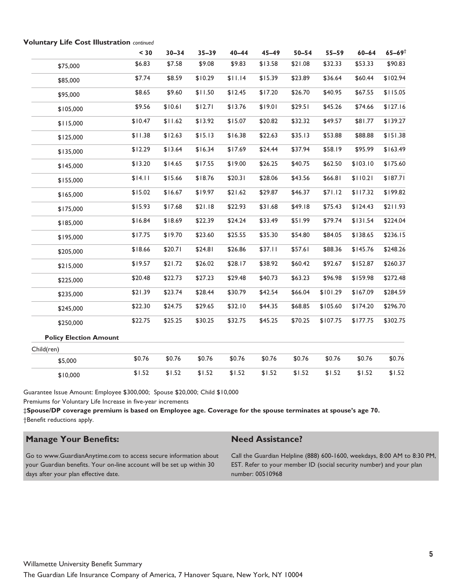|                               | $30$    | $30 - 34$ | $35 - 39$ | $40 - 44$ | $45 - 49$ | $50 - 54$ | $55 - 59$ | $60 - 64$ | $65 - 69^{\dagger}$ |
|-------------------------------|---------|-----------|-----------|-----------|-----------|-----------|-----------|-----------|---------------------|
| \$75,000                      | \$6.83  | \$7.58    | \$9.08    | \$9.83    | \$13.58   | \$21.08   | \$32.33   | \$53.33   | \$90.83             |
| \$85,000                      | \$7.74  | \$8.59    | \$10.29   | \$11.14   | \$15.39   | \$23.89   | \$36.64   | \$60.44   | \$102.94            |
| \$95,000                      | \$8.65  | \$9.60    | \$11.50   | \$12.45   | \$17.20   | \$26.70   | \$40.95   | \$67.55   | \$115.05            |
| \$105,000                     | \$9.56  | \$10.61   | \$12.71   | \$13.76   | \$19.01   | \$29.51   | \$45.26   | \$74.66   | \$127.16            |
| \$115,000                     | \$10.47 | \$11.62   | \$13.92   | \$15.07   | \$20.82   | \$32.32   | \$49.57   | \$81.77   | \$139.27            |
| \$125,000                     | \$11.38 | \$12.63   | \$15.13   | \$16.38   | \$22.63   | \$35.13   | \$53.88   | \$88.88   | \$151.38            |
| \$135,000                     | \$12.29 | \$13.64   | \$16.34   | \$17.69   | \$24.44   | \$37.94   | \$58.19   | \$95.99   | \$163.49            |
| \$145,000                     | \$13.20 | \$14.65   | \$17.55   | \$19.00   | \$26.25   | \$40.75   | \$62.50   | \$103.10  | \$175.60            |
| \$155,000                     | \$14.11 | \$15.66   | \$18.76   | \$20.31   | \$28.06   | \$43.56   | \$66.81   | \$110.21  | \$187.71            |
| \$165,000                     | \$15.02 | \$16.67   | \$19.97   | \$21.62   | \$29.87   | \$46.37   | \$71.12   | \$117.32  | \$199.82            |
| \$175,000                     | \$15.93 | \$17.68   | \$21.18   | \$22.93   | \$31.68   | \$49.18   | \$75.43   | \$124.43  | \$211.93            |
| \$185,000                     | \$16.84 | \$18.69   | \$22.39   | \$24.24   | \$33.49   | \$51.99   | \$79.74   | \$131.54  | \$224.04            |
| \$195,000                     | \$17.75 | \$19.70   | \$23.60   | \$25.55   | \$35.30   | \$54.80   | \$84.05   | \$138.65  | \$236.15            |
| \$205,000                     | \$18.66 | \$20.71   | \$24.81   | \$26.86   | \$37.11   | \$57.61   | \$88.36   | \$145.76  | \$248.26            |
| \$215,000                     | \$19.57 | \$21.72   | \$26.02   | \$28.17   | \$38.92   | \$60.42   | \$92.67   | \$152.87  | \$260.37            |
| \$225,000                     | \$20.48 | \$22.73   | \$27.23   | \$29.48   | \$40.73   | \$63.23   | \$96.98   | \$159.98  | \$272.48            |
| \$235,000                     | \$21.39 | \$23.74   | \$28.44   | \$30.79   | \$42.54   | \$66.04   | \$101.29  | \$167.09  | \$284.59            |
| \$245,000                     | \$22.30 | \$24.75   | \$29.65   | \$32.10   | \$44.35   | \$68.85   | \$105.60  | \$174.20  | \$296.70            |
| \$250,000                     | \$22.75 | \$25.25   | \$30.25   | \$32.75   | \$45.25   | \$70.25   | \$107.75  | \$177.75  | \$302.75            |
| <b>Policy Election Amount</b> |         |           |           |           |           |           |           |           |                     |
| Child(ren)                    |         |           |           |           |           |           |           |           |                     |
| \$5,000                       | \$0.76  | \$0.76    | \$0.76    | \$0.76    | \$0.76    | \$0.76    | \$0.76    | \$0.76    | \$0.76              |
| \$10,000                      | \$1.52  | \$1.52    | \$1.52    | \$1.52    | \$1.52    | \$1.52    | \$1.52    | \$1.52    | \$1.52              |

## **Voluntary Life Cost Illustration** continued

Guarantee Issue Amount: Employee \$300,000; Spouse \$20,000; Child \$10,000

Premiums for Voluntary Life Increase in five-year increments

‡**Spouse/DP coverage premium is based on Employee age. Coverage for the spouse terminates at spouse's age 70.** †Benefit reductions apply.

# **Manage Your Benefits:**

## **Need Assistance?**

Go to www.GuardianAnytime.com to access secure information about your Guardian benefits. Your on-line account will be set up within 30 days after your plan effective date.

Call the Guardian Helpline (888) 600-1600, weekdays, 8:00 AM to 8:30 PM, EST. Refer to your member ID (social security number) and your plan number: 00510968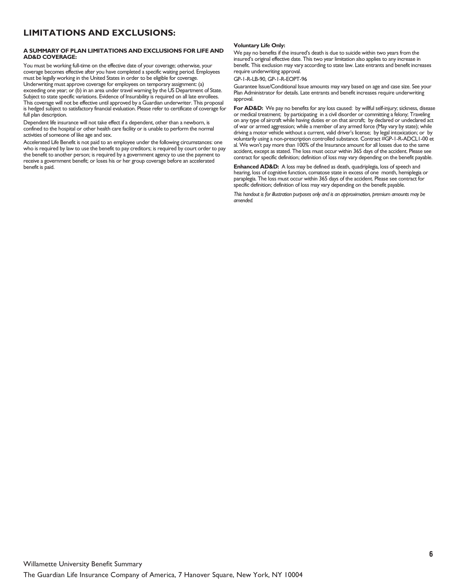# **LIMITATIONS AND EXCLUSIONS:**

#### **A SUMMARY OF PLAN LIMITATIONS AND EXCLUSIONS FOR LIFE AND AD&D COVERAGE:**

You must be working full-time on the effective date of your coverage; otherwise, your coverage becomes effective after you have completed a specific waiting period. Employees must be legally working in the United States in order to be eligible for coverage. Underwriting must approve coverage for employees on temporary assignment: (a) exceeding one year; or (b) in an area under travel warning by the US Department of State. Subject to state specific variations. Evidence of Insurability is required on all late enrollees. This coverage will not be effective until approved by a Guardian underwriter. This proposal is hedged subject to satisfactory financial evaluation. Please refer to certificate of coverage for full plan description.

Dependent life insurance will not take effect if a dependent, other than a newborn, is confined to the hospital or other health care facility or is unable to perform the normal activities of someone of like age and sex.

Accelerated Life Benefit is not paid to an employee under the following circumstances: one who is required by law to use the benefit to pay creditors; is required by court order to pay the benefit to another person; is required by a government agency to use the payment to receive a government benefit; or loses his or her group coverage before an accelerated benefit is paid.

#### **Voluntary Life Only:**

We pay no benefits if the insured's death is due to suicide within two years from the insured's original effective date. This two year limitation also applies to any increase in benefit. This exclusion may vary according to state law. Late entrants and benefit increases require underwriting approval.

#### GP-1-R-LB-90, GP-1-R-EOPT-96

Guarantee Issue/Conditional Issue amounts may vary based on age and case size. See your Plan Administrator for details. Late entrants and benefit increases require underwriting approval.

For AD&D: We pay no benefits for any loss caused: by willful self-injury; sickness, disease or medical treatment; by participating in a civil disorder or committing a felony; Traveling on any type of aircraft while having duties er on that aircraft; by declared or undeclared act of war or armed aggression; while a member of any armed force (May vary by state); while driving a motor vehicle without a current, valid driver's license; by legal intoxication; or by voluntarily using a non-prescription controlled substance. Contract #GP-1-R-ADCL1-00 et al. We won't pay more than 100% of the Insurance amount for all losses due to the same accident, except as stated. The loss must occur within 365 days of the accident. Please see contract for specific definition; definition of loss may vary depending on the benefit payable.

**Enhanced AD&D:** A loss may be defined as death, quadriplegia, loss of speech and hearing, loss of cognitive function, comatose state in excess of one month, hemiplegia or paraplegia. The loss must occur within 365 days of the accident. Please see contract for specific definition; definition of loss may vary depending on the benefit payable.

This handout is for illustration purposes only and is an approximation, premium amounts may be amended.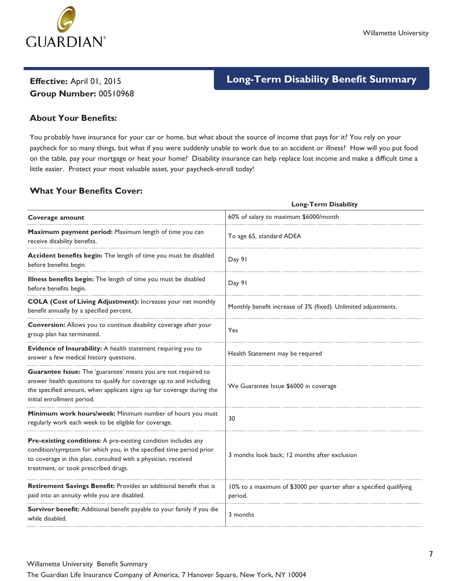

# **Group Number:** 00510968

# **Effective:** April 01, 2015 **Long-Term Disability Benefit Summary**

# **About Your Benefits:**

You probably have insurance for your car or home, but what about the source of income that pays for it? You rely on your paycheck for so many things, but what if you were suddenly unable to work due to an accident or illness? How will you put food on the table, pay your mortgage or heat your home? Disability insurance can help replace lost income and make a difficult time a little easier. Protect your most valuable asset, your paycheck-enroll today!

# **What Your Benefits Cover:**

|                                                                                                                                                                                                                                                 | <b>Long-Term Disability</b>                                                    |
|-------------------------------------------------------------------------------------------------------------------------------------------------------------------------------------------------------------------------------------------------|--------------------------------------------------------------------------------|
| Coverage amount                                                                                                                                                                                                                                 | 60% of salary to maximum \$6000/month                                          |
| Maximum payment period: Maximum length of time you can<br>receive disability benefits.                                                                                                                                                          | To age 65, standard ADEA                                                       |
| Accident benefits begin: The length of time you must be disabled<br>before benefits begin.                                                                                                                                                      | Day 91                                                                         |
| Illness benefits begin: The length of time you must be disabled<br>before benefits begin.                                                                                                                                                       | Day 91                                                                         |
| COLA (Cost of Living Adjustment): Increases your net monthly<br>benefit annually by a specified percent.                                                                                                                                        | Monthly benefit increase of 3% (fixed). Unlimited adjustments.                 |
| Conversion: Allows you to continue disability coverage after your<br>group plan has terminated.                                                                                                                                                 | Yes                                                                            |
| Evidence of Insurability: A health statement requiring you to<br>answer a few medical history questions.                                                                                                                                        | Health Statement may be required                                               |
| Guarantee Issue: The 'guarantee' means you are not required to<br>answer health questions to qualify for coverage up to and including<br>the specified amount, when applicant signs up for coverage during the<br>initial enrollment period.    | We Guarantee Issue \$6000 in coverage                                          |
| Minimum work hours/week: Minimum number of hours you must<br>regularly work each week to be eligible for coverage.                                                                                                                              | 30                                                                             |
| Pre-existing conditions: A pre-existing condition includes any<br>condition/symptom for which you, in the specified time period prior<br>to coverage in this plan, consulted with a physician, received<br>treatment, or took prescribed drugs. | 3 months look back; 12 months after exclusion                                  |
| Retirement Savings Benefit: Provides an additional benefit that is<br>paid into an annuity while you are disabled.                                                                                                                              | 10% to a maximum of \$3000 per quarter after a specified qualifying<br>period. |
| Survivor benefit: Additional benefit payable to your family if you die<br>while disabled.                                                                                                                                                       | 3 months                                                                       |